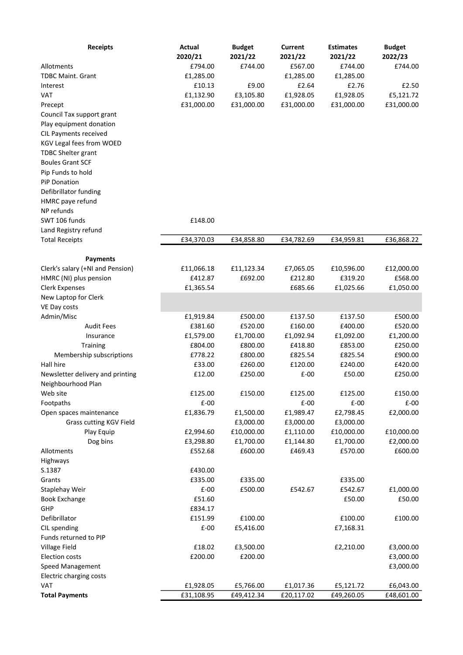| <b>Receipts</b>                  | Actual<br>2020/21 | <b>Budget</b><br>2021/22 | Current<br>2021/22 | Estimates<br>2021/22 | <b>Budget</b><br>2022/23 |
|----------------------------------|-------------------|--------------------------|--------------------|----------------------|--------------------------|
| Allotments                       | £794.00           | £744.00                  | £567.00            | £744.00              | £744.00                  |
| <b>TDBC Maint. Grant</b>         | £1,285.00         |                          | £1,285.00          | £1,285.00            |                          |
| Interest                         | £10.13            | £9.00                    | £2.64              | £2.76                | £2.50                    |
| <b>VAT</b>                       | £1,132.90         | £3,105.80                | £1,928.05          | £1,928.05            | £5,121.72                |
| Precept                          | £31,000.00        | £31,000.00               | £31,000.00         | £31,000.00           | £31,000.00               |
| Council Tax support grant        |                   |                          |                    |                      |                          |
| Play equipment donation          |                   |                          |                    |                      |                          |
| CIL Payments received            |                   |                          |                    |                      |                          |
| KGV Legal fees from WOED         |                   |                          |                    |                      |                          |
| <b>TDBC Shelter grant</b>        |                   |                          |                    |                      |                          |
| <b>Boules Grant SCF</b>          |                   |                          |                    |                      |                          |
| Pip Funds to hold                |                   |                          |                    |                      |                          |
| <b>PiP Donation</b>              |                   |                          |                    |                      |                          |
| Defibrillator funding            |                   |                          |                    |                      |                          |
| HMRC paye refund                 |                   |                          |                    |                      |                          |
| NP refunds                       |                   |                          |                    |                      |                          |
| SWT 106 funds                    | £148.00           |                          |                    |                      |                          |
| Land Registry refund             |                   |                          |                    |                      |                          |
| <b>Total Receipts</b>            | £34,370.03        | £34,858.80               | £34,782.69         | £34,959.81           | £36,868.22               |
|                                  |                   |                          |                    |                      |                          |
| <b>Payments</b>                  |                   |                          |                    |                      |                          |
| Clerk's salary (+NI and Pension) | £11,066.18        | £11,123.34               | £7,065.05          | £10,596.00           | £12,000.00               |
| HMRC (NI) plus pension           | £412.87           | £692.00                  | £212.80            | £319.20              | £568.00                  |
| Clerk Expenses                   | £1,365.54         |                          | £685.66            | £1,025.66            | £1,050.00                |
| New Laptop for Clerk             |                   |                          |                    |                      |                          |
| VE Day costs<br>Admin/Misc       | £1,919.84         | £500.00                  | £137.50            | £137.50              | £500.00                  |
| <b>Audit Fees</b>                | £381.60           | £520.00                  | £160.00            | £400.00              | £520.00                  |
| Insurance                        | £1,579.00         | £1,700.00                | £1,092.94          | £1,092.00            | £1,200.00                |
| Training                         | £804.00           | £800.00                  | £418.80            | £853.00              | £250.00                  |
| Membership subscriptions         | £778.22           | £800.00                  | £825.54            | £825.54              | £900.00                  |
| Hall hire                        | £33.00            | £260.00                  | £120.00            | £240.00              | £420.00                  |
| Newsletter delivery and printing | £12.00            | £250.00                  | $E-00$             | £50.00               | £250.00                  |
| Neighbourhood Plan               |                   |                          |                    |                      |                          |
| Web site                         | £125.00           | £150.00                  | £125.00            | £125.00              | £150.00                  |
| Footpaths                        | $E-00$            |                          | $E-00$             | $E-00$               | $E-00$                   |
| Open spaces maintenance          | £1,836.79         | £1,500.00                | £1,989.47          | £2,798.45            | £2,000.00                |
| Grass cutting KGV Field          |                   | £3,000.00                | £3,000.00          | £3,000.00            |                          |
| Play Equip                       | £2,994.60         | £10,000.00               | £1,110.00          | £10,000.00           | £10,000.00               |
| Dog bins                         | £3,298.80         | £1,700.00                | £1,144.80          | £1,700.00            | £2,000.00                |
| Allotments                       | £552.68           | £600.00                  | £469.43            | £570.00              | £600.00                  |
| Highways                         |                   |                          |                    |                      |                          |
| S.1387                           | £430.00           |                          |                    |                      |                          |
| Grants                           | £335.00<br>$E-00$ | £335.00<br>£500.00       |                    | £335.00              |                          |
| Staplehay Weir                   | £51.60            |                          | £542.67            | £542.67<br>£50.00    | £1,000.00<br>£50.00      |
| <b>Book Exchange</b><br>GHP      | £834.17           |                          |                    |                      |                          |
| Defibrillator                    | £151.99           | £100.00                  |                    | £100.00              | £100.00                  |
| CIL spending                     | $E-00$            | £5,416.00                |                    | £7,168.31            |                          |
| Funds returned to PIP            |                   |                          |                    |                      |                          |
| Village Field                    | £18.02            | £3,500.00                |                    | £2,210.00            | £3,000.00                |
| <b>Election costs</b>            | £200.00           | £200.00                  |                    |                      | £3,000.00                |
| Speed Management                 |                   |                          |                    |                      | £3,000.00                |
| Electric charging costs          |                   |                          |                    |                      |                          |
| <b>VAT</b>                       | £1,928.05         | £5,766.00                | £1,017.36          | £5,121.72            | £6,043.00                |
| <b>Total Payments</b>            | £31,108.95        | £49,412.34               | £20,117.02         | £49,260.05           | £48,601.00               |